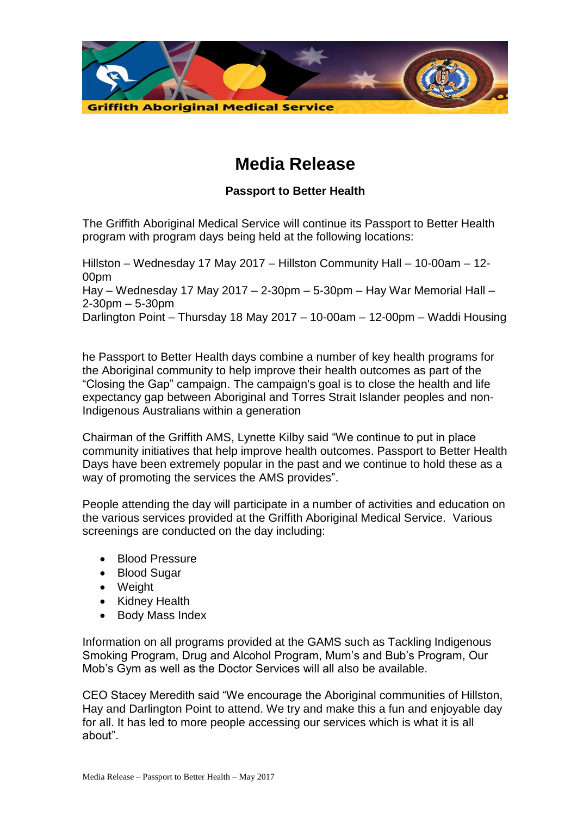

## **Media Release**

## **Passport to Better Health**

The Griffith Aboriginal Medical Service will continue its Passport to Better Health program with program days being held at the following locations:

Hillston – Wednesday 17 May 2017 – Hillston Community Hall – 10-00am – 12- 00pm Hay – Wednesday 17 May 2017 – 2-30pm – 5-30pm – Hay War Memorial Hall – 2-30pm – 5-30pm Darlington Point – Thursday 18 May 2017 – 10-00am – 12-00pm – Waddi Housing

he Passport to Better Health days combine a number of key health programs for the Aboriginal community to help improve their health outcomes as part of the "Closing the Gap" campaign. The campaign's goal is to close the health and life expectancy gap between Aboriginal and Torres Strait Islander peoples and non-Indigenous Australians within a generation

Chairman of the Griffith AMS, Lynette Kilby said "We continue to put in place community initiatives that help improve health outcomes. Passport to Better Health Days have been extremely popular in the past and we continue to hold these as a way of promoting the services the AMS provides".

People attending the day will participate in a number of activities and education on the various services provided at the Griffith Aboriginal Medical Service. Various screenings are conducted on the day including:

- Blood Pressure
- Blood Sugar
- Weight
- Kidney Health
- Body Mass Index

Information on all programs provided at the GAMS such as Tackling Indigenous Smoking Program, Drug and Alcohol Program, Mum's and Bub's Program, Our Mob's Gym as well as the Doctor Services will all also be available.

CEO Stacey Meredith said "We encourage the Aboriginal communities of Hillston, Hay and Darlington Point to attend. We try and make this a fun and enjoyable day for all. It has led to more people accessing our services which is what it is all about".